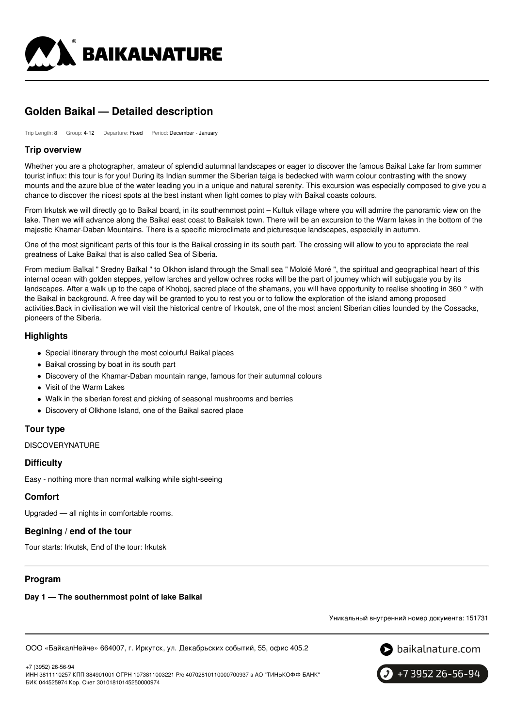

# **Golden Baikal — Detailed description**

Trip Length: 8 Group: 4-12 Departure: Fixed Period: December - January

### **Trip overview**

Whether you are a photographer, amateur of splendid autumnal landscapes or eager to discover the famous Baikal Lake far from summer tourist influx: this tour is for you! During its Indian summer the Siberian taiga is bedecked with warm colour contrasting with the snowy mounts and the azure blue of the water leading you in a unique and natural serenity. This excursion was especially composed to give you a chance to discover the nicest spots at the best instant when light comes to play with Baikal coasts colours.

From Irkutsk we will directly go to Baikal board, in its southernmost point – Kultuk village where you will admire the panoramic view on the lake. Then we will advance along the Baikal east coast to Baikalsk town. There will be an excursion to the Warm lakes in the bottom of the majestic Khamar-Daban Mountains. There is a specific microclimate and picturesque landscapes, especially in autumn.

One of the most significant parts of this tour is the Baikal crossing in its south part. The crossing will allow to you to appreciate the real greatness of Lake Baikal that is also called Sea of Siberia.

From medium Baïkal " Sredny Baïkal " to Olkhon island through the Small sea " Moloié Moré ", the spiritual and geographical heart of this internal ocean with golden steppes, yellow larches and yellow ochres rocks will be the part of journey which will subjugate you by its landscapes. After a walk up to the cape of Khoboj, sacred place of the shamans, you will have opportunity to realise shooting in 360 ° with the Baikal in background. A free day will be granted to you to rest you or to follow the exploration of the island among proposed activities.Back in civilisation we will visit the historical centre of Irkoutsk, one of the most ancient Siberian cities founded by the Cossacks, pioneers of the Siberia.

## **Highlights**

- Special itinerary through the most colourful Baikal places
- Baikal crossing by boat in its south part
- Discovery of the Khamar-Daban mountain range, famous for their autumnal colours
- Visit of the Warm Lakes
- Walk in the siberian forest and picking of seasonal mushrooms and berries
- Discovery of Olkhone Island, one of the Baikal sacred place

#### **Tour type**

**DISCOVERYNATURE** 

## **Difficulty**

Easy - nothing more than normal walking while sight-seeing

#### **Comfort**

Upgraded — all nights in comfortable rooms.

#### **Begining / end of the tour**

Tour starts: Irkutsk, End of the tour: Irkutsk

## **Program**

#### **Day 1 — The southernmost point of lake Baikal**

Уникальный внутренний номер документа: 151731

ООО «БайкалНейче» 664007, г. Иркутск, ул. Декабрьских событий, 55, офис 405.2

 $\bullet$  baikalnature.com



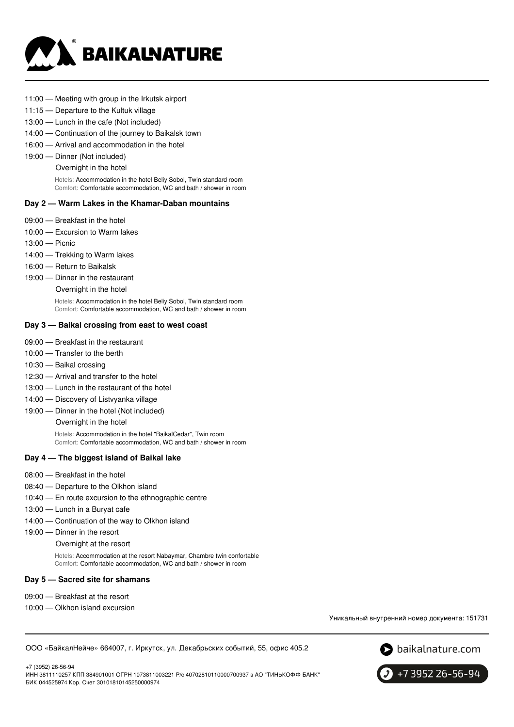

- 11:00 Meeting with group in the Irkutsk airport
- 11:15 Departure to the Kultuk village
- 13:00 Lunch in the cafe (Not included)
- 14:00 Continuation of the journey to Baikalsk town
- 16:00 Arrival and accommodation in the hotel
- 19:00 Dinner (Not included)
	- Overnight in the hotel

Hotels: Accommodation in the hotel Beliy Sobol, Twin standard room Comfort: Comfortable accommodation, WC and bath / shower in room

#### **Day 2 — Warm Lakes in the Khamar-Daban mountains**

- 09:00 Breakfast in the hotel
- 10:00 Excursion to Warm lakes
- 13:00 Picnic
- 14:00 Trekking to Warm lakes
- 16:00 Return to Baikalsk
- 19:00 Dinner in the restaurant
	- Overnight in the hotel

Hotels: Accommodation in the hotel Beliy Sobol, Twin standard room Comfort: Comfortable accommodation, WC and bath / shower in room

#### **Day 3 — Baikal crossing from east to west coast**

- 09:00 Breakfast in the restaurant
- 10:00 Transfer to the berth
- 10:30 Baikal crossing
- 12:30 Arrival and transfer to the hotel
- 13:00 Lunch in the restaurant of the hotel
- 14:00 Discovery of Listvyanka village
- 19:00 Dinner in the hotel (Not included)

Overnight in the hotel

Hotels: Accommodation in the hotel "BaikalCedar", Twin room Comfort: Comfortable accommodation, WC and bath / shower in room

#### **Day 4 — The biggest island of Baikal lake**

- 08:00 Breakfast in the hotel
- 08:40 Departure to the Olkhon island
- 10:40 En route excursion to the ethnographic centre
- 13:00 Lunch in a Buryat cafe
- 14:00 Continuation of the way to Olkhon island
- 19:00 Dinner in the resort

Overnight at the resort

Hotels: Accommodation at the resort Nabaymar, Chambre twin confortable Comfort: Comfortable accommodation, WC and bath / shower in room

#### **Day 5 — Sacred site for shamans**

- 09:00 Breakfast at the resort
- 10:00 Olkhon island excursion

Уникальный внутренний номер документа: 151731

ООО «БайкалНейче» 664007, г. Иркутск, ул. Декабрьских событий, 55, офис 405.2

S baikalnature.com

+7 (3952) 26-56-94 ИНН 3811110257 КПП 384901001 ОГРН 1073811003221 Р/с 40702810110000700937 в АО "ТИНЬКОФФ БАНК" БИК 044525974 Кор. Счет 30101810145250000974

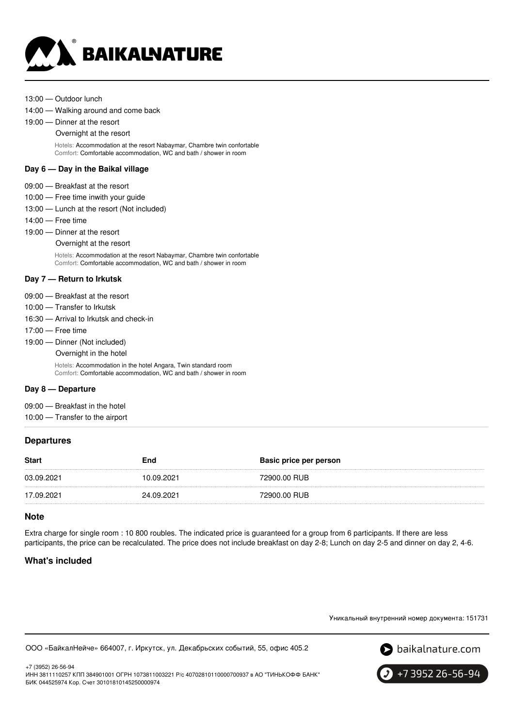

- 13:00 Outdoor lunch
- 14:00 Walking around and come back
- 19:00 Dinner at the resort
	- Overnight at the resort

Hotels: Accommodation at the resort Nabaymar, Chambre twin confortable Comfort: Comfortable accommodation, WC and bath / shower in room

### **Day 6 — Day in the Baikal village**

- 09:00 Breakfast at the resort
- 10:00 Free time inwith your guide
- 13:00 Lunch at the resort (Not included)
- 14:00 Free time
- 19:00 Dinner at the resort

#### Overnight at the resort

Hotels: Accommodation at the resort Nabaymar, Chambre twin confortable Comfort: Comfortable accommodation, WC and bath / shower in room

### **Day 7 — Return to Irkutsk**

- 09:00 Breakfast at the resort
- 10:00 Transfer to Irkutsk
- 16:30 Arrival to Irkutsk and check-in
- 17:00 Free time
- 19:00 Dinner (Not included)
	- Overnight in the hotel

Hotels: Accommodation in the hotel Angara, Twin standard room Comfort: Comfortable accommodation, WC and bath / shower in room

#### **Day 8 — Departure**

- 09:00 Breakfast in the hotel
- 10:00 Transfer to the airport

## **Departures**

| <b>Start</b> | End        | Basic price per person |
|--------------|------------|------------------------|
| 03.09.2021   | 10.09.2021 | 72900.00 RUB           |
| 17.09.2021   | 24.09.2021 | 72900.00 RUB           |

#### **Note**

Extra charge for single room : 10 800 roubles. The indicated price is guaranteed for a group from 6 participants. If there are less participants, the price can be recalculated. The price does not include breakfast on day 2-8; Lunch on day 2-5 and dinner on day 2, 4-6.

## **What's included**

Уникальный внутренний номер документа: 151731





+7 (3952) 26-56-94 ИНН 3811110257 КПП 384901001 ОГРН 1073811003221 Р/с 40702810110000700937 в АО "ТИНЬКОФФ БАНК" БИК 044525974 Кор. Счет 30101810145250000974

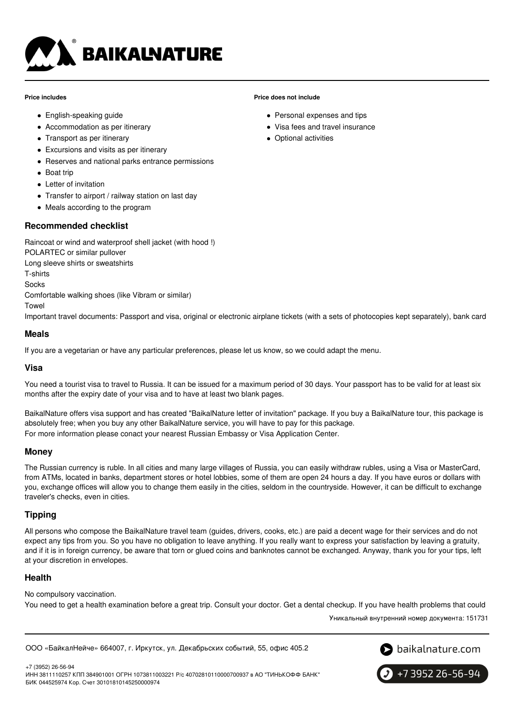

#### **Price includes**

- English-speaking guide
- Accommodation as per itinerary
- Transport as per itinerary
- Excursions and visits as per itinerary
- Reserves and national parks entrance permissions
- Boat trip
- Letter of invitation
- Transfer to airport / railway station on last day
- Meals according to the program

## **Recommended checklist**

Raincoat or wind and waterproof shell jacket (with hood !) POLARTEC or similar pullover

Long sleeve shirts or sweatshirts

T-shirts

Socks

Comfortable walking shoes (like Vibram or similar)

Towel

Important travel documents: Passport and visa, original or electronic airplane tickets (with a sets of photocopies kept separately), bank card

### **Meals**

If you are a vegetarian or have any particular preferences, please let us know, so we could adapt the menu.

## **Visa**

You need a tourist visa to travel to Russia. It can be issued for a maximum period of 30 days. Your passport has to be valid for at least six months after the expiry date of your visa and to have at least two blank pages.

BaikalNature offers visa support and has created "BaikalNature letter of invitation" package. If you buy a BaikalNature tour, this package is absolutely free; when you buy any other BaikalNature service, you will have to pay for this package. For more information please conact your nearest Russian Embassy or Visa Application Center.

## **Money**

The Russian currency is ruble. In all cities and many large villages of Russia, you can easily withdraw rubles, using a Visa or MasterCard, from ATMs, located in banks, department stores or hotel lobbies, some of them are open 24 hours a day. If you have euros or dollars with you, exchange offices will allow you to change them easily in the cities, seldom in the countryside. However, it can be difficult to exchange traveler's checks, even in cities.

## **Tipping**

All persons who compose the BaikalNature travel team (guides, drivers, cooks, etc.) are paid a decent wage for their services and do not expect any tips from you. So you have no obligation to leave anything. If you really want to express your satisfaction by leaving a gratuity, and if it is in foreign currency, be aware that torn or glued coins and banknotes cannot be exchanged. Anyway, thank you for your tips, left at your discretion in envelopes.

## **Health**

No compulsory vaccination.

You need to get a health examination before a great trip. Consult your doctor. Get a dental checkup. If you have health problems that could

Уникальный внутренний номер документа: 151731

ООО «БайкалНейче» 664007, г. Иркутск, ул. Декабрьских событий, 55, офис 405.2



+7 3952 26-56-94

+7 (3952) 26-56-94 ИНН 3811110257 КПП 384901001 ОГРН 1073811003221 Р/с 40702810110000700937 в АО "ТИНЬКОФФ БАНК" БИК 044525974 Кор. Счет 30101810145250000974

## **Price does not include**

- Personal expenses and tips
- Visa fees and travel insurance
- Optional activities